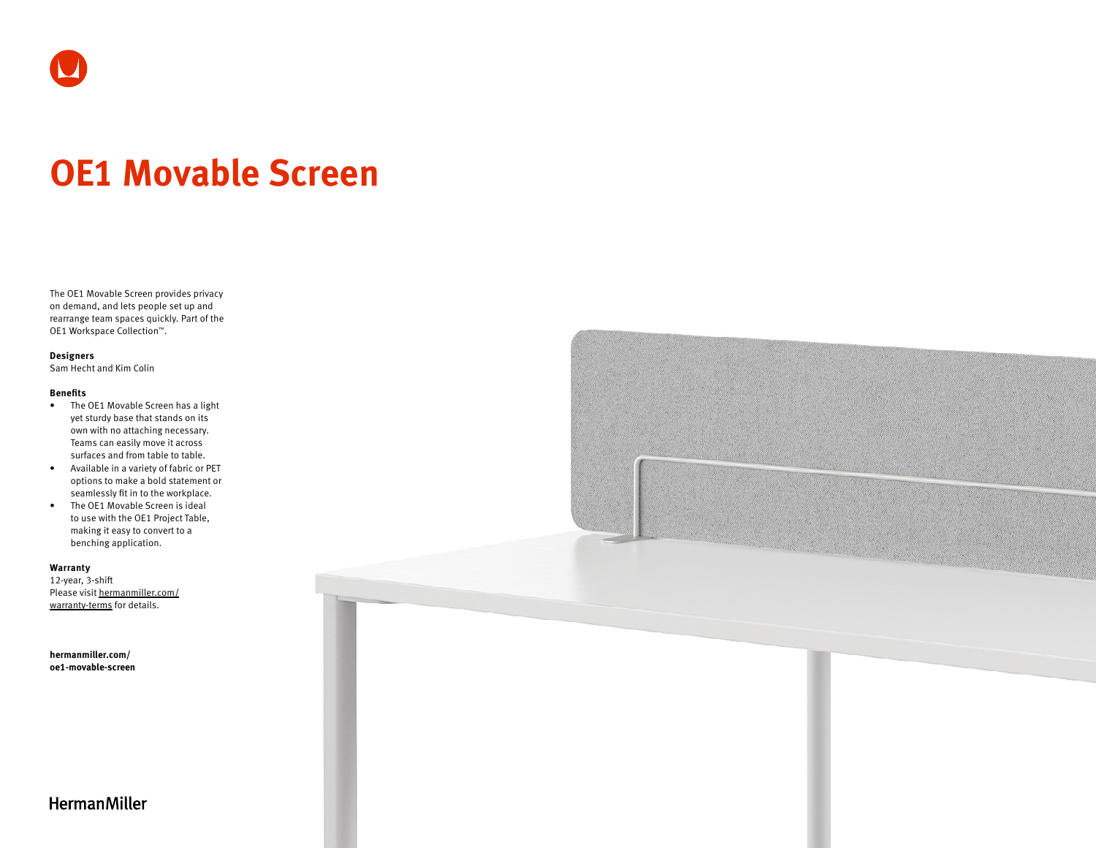

# **OE1 Movable Screen**

The OE1 Movable Screen provides privacy on demand, and lets people set up and rearrange team spaces quickly. Part of the OE1 Workspace Collection™.

## **Designers**

Sam Hecht and Kim Colin

#### **Benefits**

- The OE1 Movable Screen has a light yet sturdy base that stands on its own with no attaching necessary. Teams can easily move it across surfaces and from table to table.
- Available in a variety of fabric or PET options to make a bold statement or seamlessly fit in to the workplace.
- The OE1 Movable Screen is ideal to use with the OE1 Project Table, making it easy to convert to a benching application.

## **Warranty**

12-year, 3-shift Please visit [hermanmiller.com/](https://hermanmiller.com/warranty-terms) [warranty-terms](https://hermanmiller.com/warranty-terms) for details.

**[hermanmiller.com/](https://hermanmiller.com/oe1-movable-screen) [oe1-m](https://hermanmiller.com/oe1-movable-screen)ovable-screen**



# **HermanMiller**